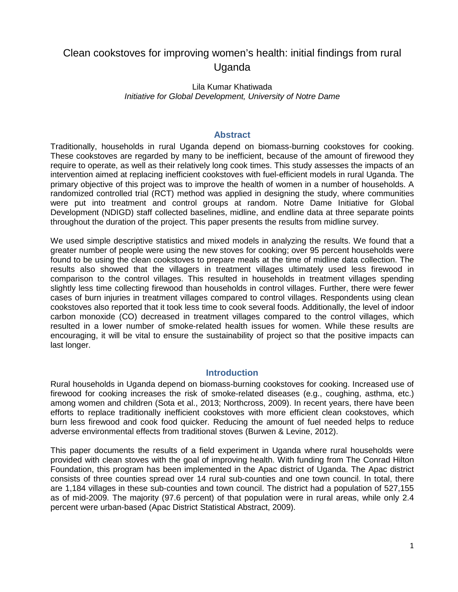# Clean cookstoves for improving women's health: initial findings from rural Uganda

## Lila Kumar Khatiwada *Initiative for Global Development, University of Notre Dame*

### **Abstract**

Traditionally, households in rural Uganda depend on biomass-burning cookstoves for cooking. These cookstoves are regarded by many to be inefficient, because of the amount of firewood they require to operate, as well as their relatively long cook times. This study assesses the impacts of an intervention aimed at replacing inefficient cookstoves with fuel-efficient models in rural Uganda. The primary objective of this project was to improve the health of women in a number of households. A randomized controlled trial (RCT) method was applied in designing the study, where communities were put into treatment and control groups at random. Notre Dame Initiative for Global Development (NDIGD) staff collected baselines, midline, and endline data at three separate points throughout the duration of the project. This paper presents the results from midline survey.

We used simple descriptive statistics and mixed models in analyzing the results. We found that a greater number of people were using the new stoves for cooking; over 95 percent households were found to be using the clean cookstoves to prepare meals at the time of midline data collection. The results also showed that the villagers in treatment villages ultimately used less firewood in comparison to the control villages. This resulted in households in treatment villages spending slightly less time collecting firewood than households in control villages. Further, there were fewer cases of burn injuries in treatment villages compared to control villages. Respondents using clean cookstoves also reported that it took less time to cook several foods. Additionally, the level of indoor carbon monoxide (CO) decreased in treatment villages compared to the control villages, which resulted in a lower number of smoke-related health issues for women. While these results are encouraging, it will be vital to ensure the sustainability of project so that the positive impacts can last longer.

# **Introduction**

Rural households in Uganda depend on biomass-burning cookstoves for cooking. Increased use of firewood for cooking increases the risk of smoke-related diseases (e.g., coughing, asthma, etc.) among women and children (Sota et al., 2013; Northcross, 2009). In recent years, there have been efforts to replace traditionally inefficient cookstoves with more efficient clean cookstoves, which burn less firewood and cook food quicker. Reducing the amount of fuel needed helps to reduce adverse environmental effects from traditional stoves (Burwen & Levine, 2012).

This paper documents the results of a field experiment in Uganda where rural households were provided with clean stoves with the goal of improving health. With funding from The Conrad Hilton Foundation, this program has been implemented in the Apac district of Uganda. The Apac district consists of three counties spread over 14 rural sub-counties and one town council. In total, there are 1,184 villages in these sub-counties and town council. The district had a population of 527,155 as of mid-2009. The majority (97.6 percent) of that population were in rural areas, while only 2.4 percent were urban-based (Apac District Statistical Abstract, 2009).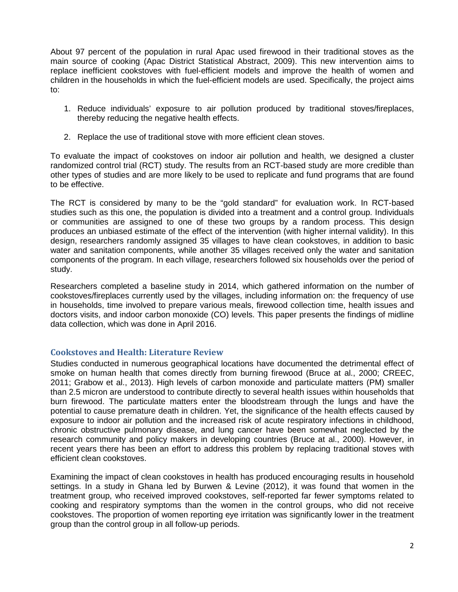About 97 percent of the population in rural Apac used firewood in their traditional stoves as the main source of cooking (Apac District Statistical Abstract, 2009). This new intervention aims to replace inefficient cookstoves with fuel-efficient models and improve the health of women and children in the households in which the fuel-efficient models are used. Specifically, the project aims to:

- 1. Reduce individuals' exposure to air pollution produced by traditional stoves/fireplaces, thereby reducing the negative health effects.
- 2. Replace the use of traditional stove with more efficient clean stoves.

To evaluate the impact of cookstoves on indoor air pollution and health, we designed a cluster randomized control trial (RCT) study. The results from an RCT-based study are more credible than other types of studies and are more likely to be used to replicate and fund programs that are found to be effective.

The RCT is considered by many to be the "gold standard" for evaluation work. In RCT-based studies such as this one, the population is divided into a treatment and a control group. Individuals or communities are assigned to one of these two groups by a random process. This design produces an unbiased estimate of the effect of the intervention (with higher internal validity). In this design, researchers randomly assigned 35 villages to have clean cookstoves, in addition to basic water and sanitation components, while another 35 villages received only the water and sanitation components of the program. In each village, researchers followed six households over the period of study.

Researchers completed a baseline study in 2014, which gathered information on the number of cookstoves/fireplaces currently used by the villages, including information on: the frequency of use in households, time involved to prepare various meals, firewood collection time, health issues and doctors visits, and indoor carbon monoxide (CO) levels. This paper presents the findings of midline data collection, which was done in April 2016.

# **Cookstoves and Health: Literature Review**

Studies conducted in numerous geographical locations have documented the detrimental effect of smoke on human health that comes directly from burning firewood (Bruce at al., 2000; CREEC, 2011; Grabow et al., 2013). High levels of carbon monoxide and particulate matters (PM) smaller than 2.5 micron are understood to contribute directly to several health issues within households that burn firewood. The particulate matters enter the bloodstream through the lungs and have the potential to cause premature death in children. Yet, the significance of the health effects caused by exposure to indoor air pollution and the increased risk of acute respiratory infections in childhood, chronic obstructive pulmonary disease, and lung cancer have been somewhat neglected by the research community and policy makers in developing countries (Bruce at al., 2000). However, in recent years there has been an effort to address this problem by replacing traditional stoves with efficient clean cookstoves.

Examining the impact of clean cookstoves in health has produced encouraging results in household settings. In a study in Ghana led by Burwen & Levine (2012), it was found that women in the treatment group, who received improved cookstoves, self-reported far fewer symptoms related to cooking and respiratory symptoms than the women in the control groups, who did not receive cookstoves. The proportion of women reporting eye irritation was significantly lower in the treatment group than the control group in all follow-up periods.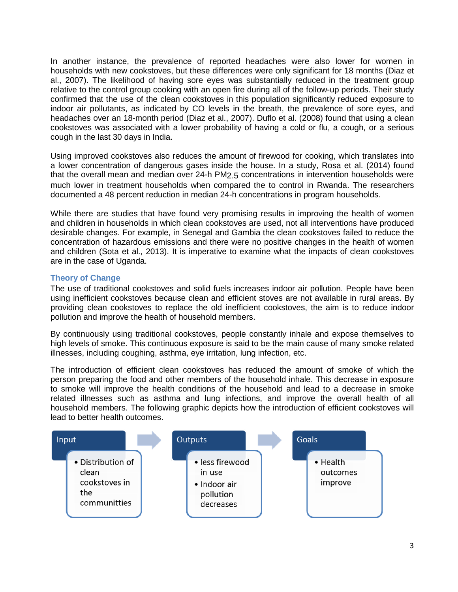In another instance, the prevalence of reported headaches were also lower for women in households with new cookstoves, but these differences were only significant for 18 months (Diaz et al., 2007). The likelihood of having sore eyes was substantially reduced in the treatment group relative to the control group cooking with an open fire during all of the follow-up periods. Their study confirmed that the use of the clean cookstoves in this population significantly reduced exposure to indoor air pollutants, as indicated by CO levels in the breath, the prevalence of sore eyes, and headaches over an 18-month period (Diaz et al., 2007). Duflo et al. (2008) found that using a clean cookstoves was associated with a lower probability of having a cold or flu, a cough, or a serious cough in the last 30 days in India.

Using improved cookstoves also reduces the amount of firewood for cooking, which translates into a lower concentration of dangerous gases inside the house. In a study, Rosa et al. (2014) found that the overall mean and median over 24-h PM2.5 concentrations in intervention households were much lower in treatment households when compared the to control in Rwanda. The researchers documented a 48 percent reduction in median 24-h concentrations in program households.

While there are studies that have found very promising results in improving the health of women and children in households in which clean cookstoves are used, not all interventions have produced desirable changes. For example, in Senegal and Gambia the clean cookstoves failed to reduce the concentration of hazardous emissions and there were no positive changes in the health of women and children (Sota et al., 2013). It is imperative to examine what the impacts of clean cookstoves are in the case of Uganda.

# **Theory of Change**

The use of traditional cookstoves and solid fuels increases indoor air pollution. People have been using inefficient cookstoves because clean and efficient stoves are not available in rural areas. By providing clean cookstoves to replace the old inefficient cookstoves, the aim is to reduce indoor pollution and improve the health of household members.

By continuously using traditional cookstoves, people constantly inhale and expose themselves to high levels of smoke. This continuous exposure is said to be the main cause of many smoke related illnesses, including coughing, asthma, eye irritation, lung infection, etc.

The introduction of efficient clean cookstoves has reduced the amount of smoke of which the person preparing the food and other members of the household inhale. This decrease in exposure to smoke will improve the health conditions of the household and lead to a decrease in smoke related illnesses such as asthma and lung infections, and improve the overall health of all household members. The following graphic depicts how the introduction of efficient cookstoves will lead to better health outcomes.

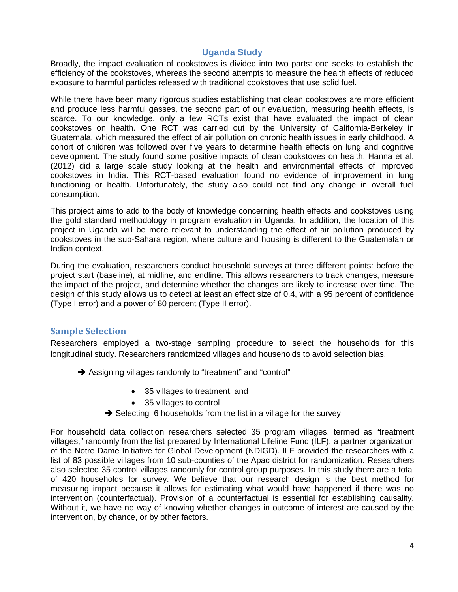# **Uganda Study**

Broadly, the impact evaluation of cookstoves is divided into two parts: one seeks to establish the efficiency of the cookstoves, whereas the second attempts to measure the health effects of reduced exposure to harmful particles released with traditional cookstoves that use solid fuel.

While there have been many rigorous studies establishing that clean cookstoves are more efficient and produce less harmful gasses, the second part of our evaluation, measuring health effects, is scarce. To our knowledge, only a few RCTs exist that have evaluated the impact of clean cookstoves on health. One RCT was carried out by the University of California-Berkeley in Guatemala, which measured the effect of air pollution on chronic health issues in early childhood. A cohort of children was followed over five years to determine health effects on lung and cognitive development. The study found some positive impacts of clean cookstoves on health. Hanna et al. (2012) did a large scale study looking at the health and environmental effects of improved cookstoves in India. This RCT-based evaluation found no evidence of improvement in lung functioning or health. Unfortunately, the study also could not find any change in overall fuel consumption.

This project aims to add to the body of knowledge concerning health effects and cookstoves using the gold standard methodology in program evaluation in Uganda. In addition, the location of this project in Uganda will be more relevant to understanding the effect of air pollution produced by cookstoves in the sub-Sahara region, where culture and housing is different to the Guatemalan or Indian context.

During the evaluation, researchers conduct household surveys at three different points: before the project start (baseline), at midline, and endline. This allows researchers to track changes, measure the impact of the project, and determine whether the changes are likely to increase over time. The design of this study allows us to detect at least an effect size of 0.4, with a 95 percent of confidence (Type I error) and a power of 80 percent (Type II error).

# **Sample Selection**

Researchers employed a two-stage sampling procedure to select the households for this longitudinal study. Researchers randomized villages and households to avoid selection bias.

- Assigning villages randomly to "treatment" and "control"
	- 35 villages to treatment, and
	- 35 villages to control
	- $\rightarrow$  Selecting 6 households from the list in a village for the survey

For household data collection researchers selected 35 program villages, termed as "treatment villages," randomly from the list prepared by International Lifeline Fund (ILF), a partner organization of the Notre Dame Initiative for Global Development (NDIGD). ILF provided the researchers with a list of 83 possible villages from 10 sub-counties of the Apac district for randomization. Researchers also selected 35 control villages randomly for control group purposes. In this study there are a total of 420 households for survey. We believe that our research design is the best method for measuring impact because it allows for estimating what would have happened if there was no intervention (counterfactual). Provision of a counterfactual is essential for establishing causality. Without it, we have no way of knowing whether changes in outcome of interest are caused by the intervention, by chance, or by other factors.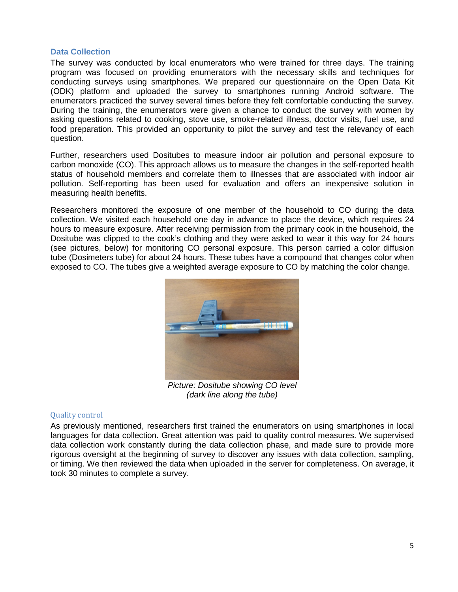## **Data Collection**

The survey was conducted by local enumerators who were trained for three days. The training program was focused on providing enumerators with the necessary skills and techniques for conducting surveys using smartphones. We prepared our questionnaire on the Open Data Kit (ODK) platform and uploaded the survey to smartphones running Android software. The enumerators practiced the survey several times before they felt comfortable conducting the survey. During the training, the enumerators were given a chance to conduct the survey with women by asking questions related to cooking, stove use, smoke-related illness, doctor visits, fuel use, and food preparation. This provided an opportunity to pilot the survey and test the relevancy of each question.

Further, researchers used Dositubes to measure indoor air pollution and personal exposure to carbon monoxide (CO). This approach allows us to measure the changes in the self-reported health status of household members and correlate them to illnesses that are associated with indoor air pollution. Self-reporting has been used for evaluation and offers an inexpensive solution in measuring health benefits.

Researchers monitored the exposure of one member of the household to CO during the data collection. We visited each household one day in advance to place the device, which requires 24 hours to measure exposure. After receiving permission from the primary cook in the household, the Dositube was clipped to the cook's clothing and they were asked to wear it this way for 24 hours (see pictures, below) for monitoring CO personal exposure. This person carried a color diffusion tube (Dosimeters tube) for about 24 hours. These tubes have a compound that changes color when exposed to CO. The tubes give a weighted average exposure to CO by matching the color change.



*Picture: Dositube showing CO level (dark line along the tube)*

# Quality control

As previously mentioned, researchers first trained the enumerators on using smartphones in local languages for data collection. Great attention was paid to quality control measures. We supervised data collection work constantly during the data collection phase, and made sure to provide more rigorous oversight at the beginning of survey to discover any issues with data collection, sampling, or timing. We then reviewed the data when uploaded in the server for completeness. On average, it took 30 minutes to complete a survey.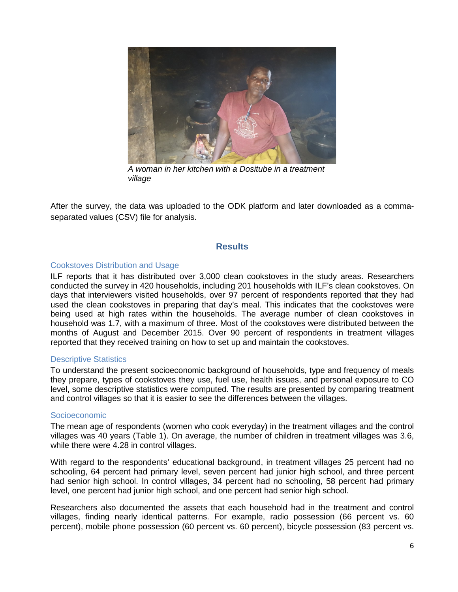

*A woman in her kitchen with a Dositube in a treatment village*

After the survey, the data was uploaded to the ODK platform and later downloaded as a commaseparated values (CSV) file for analysis.

### **Results**

#### Cookstoves Distribution and Usage

ILF reports that it has distributed over 3,000 clean cookstoves in the study areas. Researchers conducted the survey in 420 households, including 201 households with ILF's clean cookstoves. On days that interviewers visited households, over 97 percent of respondents reported that they had used the clean cookstoves in preparing that day's meal. This indicates that the cookstoves were being used at high rates within the households. The average number of clean cookstoves in household was 1.7, with a maximum of three. Most of the cookstoves were distributed between the months of August and December 2015. Over 90 percent of respondents in treatment villages reported that they received training on how to set up and maintain the cookstoves.

#### Descriptive Statistics

To understand the present socioeconomic background of households, type and frequency of meals they prepare, types of cookstoves they use, fuel use, health issues, and personal exposure to CO level, some descriptive statistics were computed. The results are presented by comparing treatment and control villages so that it is easier to see the differences between the villages.

#### Socioeconomic

The mean age of respondents (women who cook everyday) in the treatment villages and the control villages was 40 years (Table 1). On average, the number of children in treatment villages was 3.6, while there were 4.28 in control villages.

With regard to the respondents' educational background, in treatment villages 25 percent had no schooling, 64 percent had primary level, seven percent had junior high school, and three percent had senior high school. In control villages, 34 percent had no schooling, 58 percent had primary level, one percent had junior high school, and one percent had senior high school.

Researchers also documented the assets that each household had in the treatment and control villages, finding nearly identical patterns. For example, radio possession (66 percent vs. 60 percent), mobile phone possession (60 percent vs. 60 percent), bicycle possession (83 percent vs.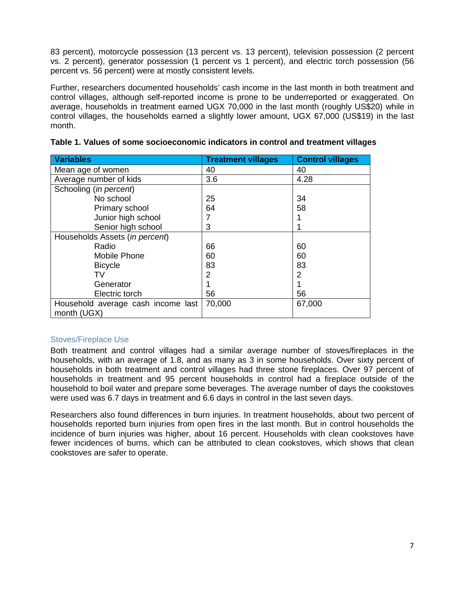83 percent), motorcycle possession (13 percent vs. 13 percent), television possession (2 percent vs. 2 percent), generator possession (1 percent vs 1 percent), and electric torch possession (56 percent vs. 56 percent) were at mostly consistent levels.

Further, researchers documented households' cash income in the last month in both treatment and control villages, although self-reported income is prone to be underreported or exaggerated. On average, households in treatment earned UGX 70,000 in the last month (roughly US\$20) while in control villages, the households earned a slightly lower amount, UGX 67,000 (US\$19) in the last month.

| <b>Variables</b>                   | <b>Treatment villages</b> | <b>Control villages</b> |
|------------------------------------|---------------------------|-------------------------|
| Mean age of women                  | 40                        | 40                      |
| Average number of kids             | 3.6                       | 4.28                    |
| Schooling (in percent)             |                           |                         |
| No school                          | 25                        | 34                      |
| Primary school                     | 64                        | 58                      |
| Junior high school                 |                           |                         |
| Senior high school                 | 3                         |                         |
| Households Assets (in percent)     |                           |                         |
| Radio                              | 66                        | 60                      |
| Mobile Phone                       | 60                        | 60                      |
| <b>Bicycle</b>                     | 83                        | 83                      |
| TV                                 | 2                         | 2                       |
| Generator                          |                           |                         |
| Electric torch                     | 56                        | 56                      |
| Household average cash income last | 70,000                    | 67,000                  |
| month (UGX)                        |                           |                         |

# **Table 1. Values of some socioeconomic indicators in control and treatment villages**

# Stoves/Fireplace Use

Both treatment and control villages had a similar average number of stoves/fireplaces in the households, with an average of 1.8, and as many as 3 in some households. Over sixty percent of households in both treatment and control villages had three stone fireplaces. Over 97 percent of households in treatment and 95 percent households in control had a fireplace outside of the household to boil water and prepare some beverages. The average number of days the cookstoves were used was 6.7 days in treatment and 6.6 days in control in the last seven days.

Researchers also found differences in burn injuries. In treatment households, about two percent of households reported burn injuries from open fires in the last month. But in control households the incidence of burn injuries was higher, about 16 percent. Households with clean cookstoves have fewer incidences of burns, which can be attributed to clean cookstoves, which shows that clean cookstoves are safer to operate.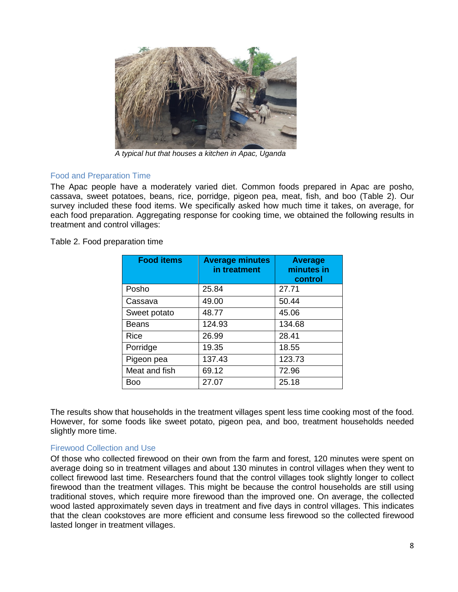

*A typical hut that houses a kitchen in Apac, Uganda*

# Food and Preparation Time

The Apac people have a moderately varied diet. Common foods prepared in Apac are posho, cassava, sweet potatoes, beans, rice, porridge, pigeon pea, meat, fish, and boo (Table 2). Our survey included these food items. We specifically asked how much time it takes, on average, for each food preparation. Aggregating response for cooking time, we obtained the following results in treatment and control villages:

Table 2. Food preparation time

| <b>Food items</b> | <b>Average minutes</b><br>in treatment | <b>Average</b><br>minutes in<br>control |
|-------------------|----------------------------------------|-----------------------------------------|
| Posho             | 25.84                                  | 27.71                                   |
| Cassava           | 49.00                                  | 50.44                                   |
| Sweet potato      | 48.77                                  | 45.06                                   |
| Beans             | 124.93                                 | 134.68                                  |
| Rice              | 26.99                                  | 28.41                                   |
| Porridge          | 19.35                                  | 18.55                                   |
| Pigeon pea        | 137.43                                 | 123.73                                  |
| Meat and fish     | 69.12                                  | 72.96                                   |
| Boo               | 27.07                                  | 25.18                                   |

The results show that households in the treatment villages spent less time cooking most of the food. However, for some foods like sweet potato, pigeon pea, and boo, treatment households needed slightly more time.

# Firewood Collection and Use

Of those who collected firewood on their own from the farm and forest, 120 minutes were spent on average doing so in treatment villages and about 130 minutes in control villages when they went to collect firewood last time. Researchers found that the control villages took slightly longer to collect firewood than the treatment villages. This might be because the control households are still using traditional stoves, which require more firewood than the improved one. On average, the collected wood lasted approximately seven days in treatment and five days in control villages. This indicates that the clean cookstoves are more efficient and consume less firewood so the collected firewood lasted longer in treatment villages.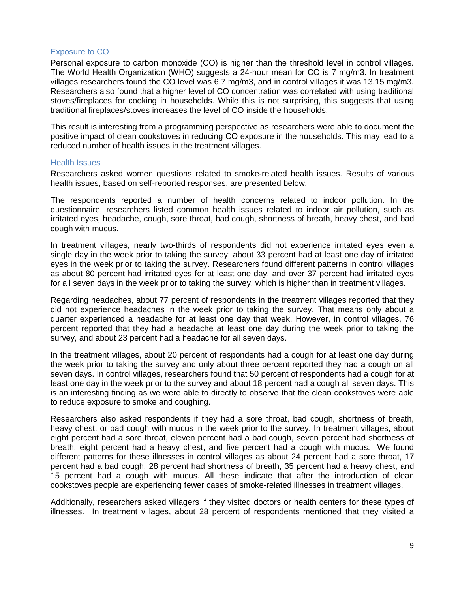# Exposure to CO

Personal exposure to carbon monoxide (CO) is higher than the threshold level in control villages. The World Health Organization (WHO) suggests a 24-hour mean for CO is 7 mg/m3. In treatment villages researchers found the CO level was 6.7 mg/m3, and in control villages it was 13.15 mg/m3. Researchers also found that a higher level of CO concentration was correlated with using traditional stoves/fireplaces for cooking in households. While this is not surprising, this suggests that using traditional fireplaces/stoves increases the level of CO inside the households.

This result is interesting from a programming perspective as researchers were able to document the positive impact of clean cookstoves in reducing CO exposure in the households. This may lead to a reduced number of health issues in the treatment villages.

#### Health Issues

Researchers asked women questions related to smoke-related health issues. Results of various health issues, based on self-reported responses, are presented below.

The respondents reported a number of health concerns related to indoor pollution. In the questionnaire, researchers listed common health issues related to indoor air pollution, such as irritated eyes, headache, cough, sore throat, bad cough, shortness of breath, heavy chest, and bad cough with mucus.

In treatment villages, nearly two-thirds of respondents did not experience irritated eyes even a single day in the week prior to taking the survey; about 33 percent had at least one day of irritated eyes in the week prior to taking the survey. Researchers found different patterns in control villages as about 80 percent had irritated eyes for at least one day, and over 37 percent had irritated eyes for all seven days in the week prior to taking the survey, which is higher than in treatment villages.

Regarding headaches, about 77 percent of respondents in the treatment villages reported that they did not experience headaches in the week prior to taking the survey. That means only about a quarter experienced a headache for at least one day that week. However, in control villages, 76 percent reported that they had a headache at least one day during the week prior to taking the survey, and about 23 percent had a headache for all seven days.

In the treatment villages, about 20 percent of respondents had a cough for at least one day during the week prior to taking the survey and only about three percent reported they had a cough on all seven days. In control villages, researchers found that 50 percent of respondents had a cough for at least one day in the week prior to the survey and about 18 percent had a cough all seven days. This is an interesting finding as we were able to directly to observe that the clean cookstoves were able to reduce exposure to smoke and coughing.

Researchers also asked respondents if they had a sore throat, bad cough, shortness of breath, heavy chest, or bad cough with mucus in the week prior to the survey. In treatment villages, about eight percent had a sore throat, eleven percent had a bad cough, seven percent had shortness of breath, eight percent had a heavy chest, and five percent had a cough with mucus. We found different patterns for these illnesses in control villages as about 24 percent had a sore throat, 17 percent had a bad cough, 28 percent had shortness of breath, 35 percent had a heavy chest, and 15 percent had a cough with mucus. All these indicate that after the introduction of clean cookstoves people are experiencing fewer cases of smoke-related illnesses in treatment villages.

Additionally, researchers asked villagers if they visited doctors or health centers for these types of illnesses. In treatment villages, about 28 percent of respondents mentioned that they visited a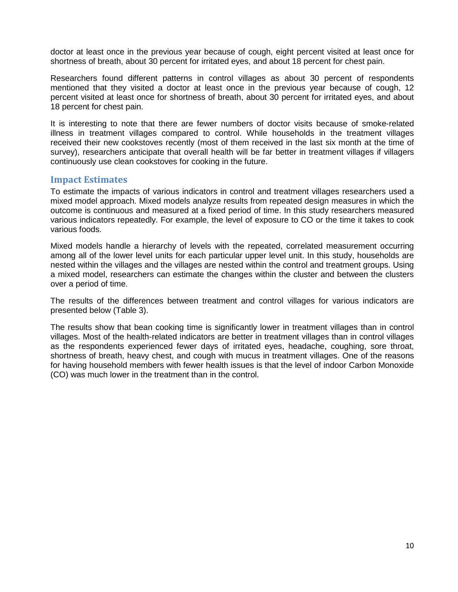doctor at least once in the previous year because of cough, eight percent visited at least once for shortness of breath, about 30 percent for irritated eyes, and about 18 percent for chest pain.

Researchers found different patterns in control villages as about 30 percent of respondents mentioned that they visited a doctor at least once in the previous year because of cough, 12 percent visited at least once for shortness of breath, about 30 percent for irritated eyes, and about 18 percent for chest pain.

It is interesting to note that there are fewer numbers of doctor visits because of smoke-related illness in treatment villages compared to control. While households in the treatment villages received their new cookstoves recently (most of them received in the last six month at the time of survey), researchers anticipate that overall health will be far better in treatment villages if villagers continuously use clean cookstoves for cooking in the future.

# **Impact Estimates**

To estimate the impacts of various indicators in control and treatment villages researchers used a mixed model approach. Mixed models analyze results from repeated design measures in which the outcome is continuous and measured at a fixed period of time. In this study researchers measured various indicators repeatedly. For example, the level of exposure to CO or the time it takes to cook various foods.

Mixed models handle a hierarchy of levels with the repeated, correlated measurement occurring among all of the lower level units for each particular upper level unit. In this study, households are nested within the villages and the villages are nested within the control and treatment groups. Using a mixed model, researchers can estimate the changes within the cluster and between the clusters over a period of time.

The results of the differences between treatment and control villages for various indicators are presented below (Table 3).

The results show that bean cooking time is significantly lower in treatment villages than in control villages. Most of the health-related indicators are better in treatment villages than in control villages as the respondents experienced fewer days of irritated eyes, headache, coughing, sore throat, shortness of breath, heavy chest, and cough with mucus in treatment villages. One of the reasons for having household members with fewer health issues is that the level of indoor Carbon Monoxide (CO) was much lower in the treatment than in the control.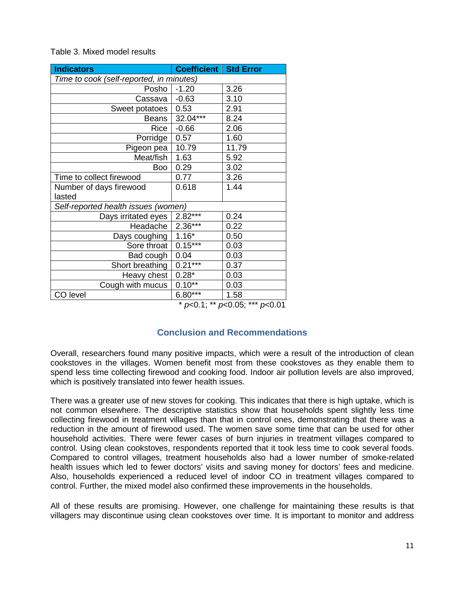| <b>Indicators</b>                        | <b>Coefficient   Std Error</b> |                             |  |  |
|------------------------------------------|--------------------------------|-----------------------------|--|--|
| Time to cook (self-reported, in minutes) |                                |                             |  |  |
| Posho                                    | $-1.20$                        | 3.26                        |  |  |
| Cassava                                  | $-0.63$                        | 3.10                        |  |  |
| Sweet potatoes                           | 0.53                           | 2.91                        |  |  |
| <b>Beans</b>                             | 32.04***                       | 8.24                        |  |  |
| Rice                                     | $-0.66$                        | 2.06                        |  |  |
| Porridge                                 | 0.57                           | 1.60                        |  |  |
| Pigeon pea                               | 10.79                          | 11.79                       |  |  |
| Meat/fish                                | 1.63                           | 5.92                        |  |  |
| Boo                                      | 0.29                           | 3.02                        |  |  |
| Time to collect firewood                 | 0.77                           | 3.26                        |  |  |
| Number of days firewood                  | 0.618                          | 1.44                        |  |  |
| lasted                                   |                                |                             |  |  |
| Self-reported health issues (women)      |                                |                             |  |  |
| Days irritated eyes                      | $2.82***$                      | 0.24                        |  |  |
| Headache                                 | $2.36***$                      | 0.22                        |  |  |
| Days coughing                            | $1.16*$                        | 0.50                        |  |  |
| Sore throat                              | $0.15***$                      | 0.03                        |  |  |
| Bad cough                                | 0.04                           | 0.03                        |  |  |
| Short breathing                          | $0.21***$                      | 0.37                        |  |  |
| Heavy chest                              | $0.28*$                        | 0.03                        |  |  |
| Cough with mucus                         | $0.10**$                       | 0.03                        |  |  |
| CO level                                 | $6.80***$<br>مقدمقد            | 1.58<br>$\sim$ $ +$ $+$ $+$ |  |  |

# Table 3. Mixed model results

\* *p*<0.1; \*\* *p*<0.05; \*\*\* *p*<0.01

# **Conclusion and Recommendations**

Overall, researchers found many positive impacts, which were a result of the introduction of clean cookstoves in the villages. Women benefit most from these cookstoves as they enable them to spend less time collecting firewood and cooking food. Indoor air pollution levels are also improved, which is positively translated into fewer health issues.

There was a greater use of new stoves for cooking. This indicates that there is high uptake, which is not common elsewhere. The descriptive statistics show that households spent slightly less time collecting firewood in treatment villages than that in control ones, demonstrating that there was a reduction in the amount of firewood used. The women save some time that can be used for other household activities. There were fewer cases of burn injuries in treatment villages compared to control. Using clean cookstoves, respondents reported that it took less time to cook several foods. Compared to control villages, treatment households also had a lower number of smoke-related health issues which led to fewer doctors' visits and saving money for doctors' fees and medicine. Also, households experienced a reduced level of indoor CO in treatment villages compared to control. Further, the mixed model also confirmed these improvements in the households.

All of these results are promising. However, one challenge for maintaining these results is that villagers may discontinue using clean cookstoves over time. It is important to monitor and address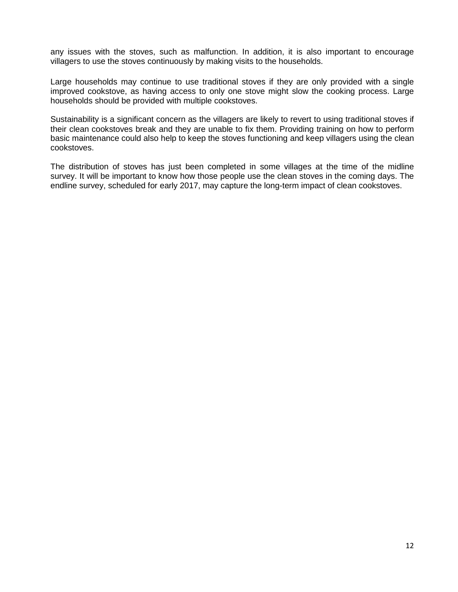any issues with the stoves, such as malfunction. In addition, it is also important to encourage villagers to use the stoves continuously by making visits to the households.

Large households may continue to use traditional stoves if they are only provided with a single improved cookstove, as having access to only one stove might slow the cooking process. Large households should be provided with multiple cookstoves.

Sustainability is a significant concern as the villagers are likely to revert to using traditional stoves if their clean cookstoves break and they are unable to fix them. Providing training on how to perform basic maintenance could also help to keep the stoves functioning and keep villagers using the clean cookstoves.

The distribution of stoves has just been completed in some villages at the time of the midline survey. It will be important to know how those people use the clean stoves in the coming days. The endline survey, scheduled for early 2017, may capture the long-term impact of clean cookstoves.